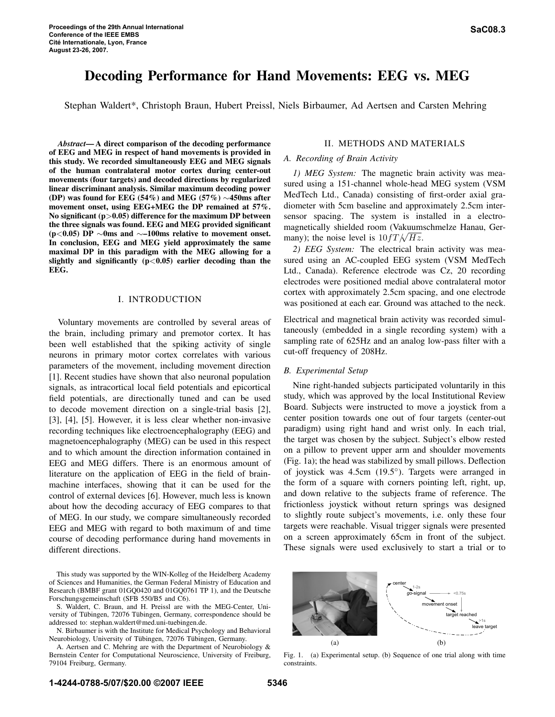# Decoding Performance for Hand Movements: EEG vs. MEG

Stephan Waldert\*, Christoph Braun, Hubert Preissl, Niels Birbaumer, Ad Aertsen and Carsten Mehring

*Abstract*— A direct comparison of the decoding performance of EEG and MEG in respect of hand movements is provided in this study. We recorded simultaneously EEG and MEG signals of the human contralateral motor cortex during center-out movements (four targets) and decoded directions by regularized linear discriminant analysis. Similar maximum decoding power (DP) was found for EEG (54%) and MEG (57%) ∼450ms after movement onset, using EEG+MEG the DP remained at 57%. No significant  $(p>0.05)$  difference for the maximum DP between the three signals was found. EEG and MEG provided significant (p<0.05) DP ∼0ms and ∼–100ms relative to movement onset. In conclusion, EEG and MEG yield approximately the same maximal DP in this paradigm with the MEG allowing for a slightly and significantly  $(p<0.05)$  earlier decoding than the EEG.

## I. INTRODUCTION

Voluntary movements are controlled by several areas of the brain, including primary and premotor cortex. It has been well established that the spiking activity of single neurons in primary motor cortex correlates with various parameters of the movement, including movement direction [1]. Recent studies have shown that also neuronal population signals, as intracortical local field potentials and epicortical field potentials, are directionally tuned and can be used to decode movement direction on a single-trial basis [2], [3], [4], [5]. However, it is less clear whether non-invasive recording techniques like electroencephalography (EEG) and magnetoencephalography (MEG) can be used in this respect and to which amount the direction information contained in EEG and MEG differs. There is an enormous amount of literature on the application of EEG in the field of brainmachine interfaces, showing that it can be used for the control of external devices [6]. However, much less is known about how the decoding accuracy of EEG compares to that of MEG. In our study, we compare simultaneously recorded EEG and MEG with regard to both maximum of and time course of decoding performance during hand movements in different directions.

This study was supported by the WIN-Kolleg of the Heidelberg Academy of Sciences and Humanities, the German Federal Ministry of Education and Research (BMBF grant 01GQ0420 and 01GQ0761 TP 1), and the Deutsche Forschungsgemeinschaft (SFB 550/B5 and C6).

S. Waldert, C. Braun, and H. Preissl are with the MEG-Center, University of Tübingen, 72076 Tübingen, Germany, correspondence should be addressed to: stephan.waldert@med.uni-tuebingen.de.

N. Birbaumer is with the Institute for Medical Psychology and Behavioral Neurobiology, University of Tübingen, 72076 Tübingen, Germany.

A. Aertsen and C. Mehring are with the Department of Neurobiology & Bernstein Center for Computational Neuroscience, University of Freiburg, 79104 Freiburg, Germany.

## II. METHODS AND MATERIALS

#### *A. Recording of Brain Activity*

*1) MEG System:* The magnetic brain activity was measured using a 151-channel whole-head MEG system (VSM MedTech Ltd., Canada) consisting of first-order axial gradiometer with 5cm baseline and approximately 2.5cm intersensor spacing. The system is installed in a electromagnetically shielded room (Vakuumschmelze Hanau, Germany); the noise level is  $10fT/\sqrt{Hz}$ .

*2) EEG System:* The electrical brain activity was measured using an AC-coupled EEG system (VSM MedTech Ltd., Canada). Reference electrode was Cz, 20 recording electrodes were positioned medial above contralateral motor cortex with approximately 2.5cm spacing, and one electrode was positioned at each ear. Ground was attached to the neck.

Electrical and magnetical brain activity was recorded simultaneously (embedded in a single recording system) with a sampling rate of 625Hz and an analog low-pass filter with a cut-off frequency of 208Hz.

### *B. Experimental Setup*

Nine right-handed subjects participated voluntarily in this study, which was approved by the local Institutional Review Board. Subjects were instructed to move a joystick from a center position towards one out of four targets (center-out paradigm) using right hand and wrist only. In each trial, the target was chosen by the subject. Subject's elbow rested on a pillow to prevent upper arm and shoulder movements (Fig. 1a); the head was stabilized by small pillows. Deflection of joystick was 4.5cm (19.5◦ ). Targets were arranged in the form of a square with corners pointing left, right, up, and down relative to the subjects frame of reference. The frictionless joystick without return springs was designed to slightly route subject's movements, i.e. only these four targets were reachable. Visual trigger signals were presented on a screen approximately 65cm in front of the subject. These signals were used exclusively to start a trial or to



Fig. 1. (a) Experimental setup. (b) Sequence of one trial along with time constraints.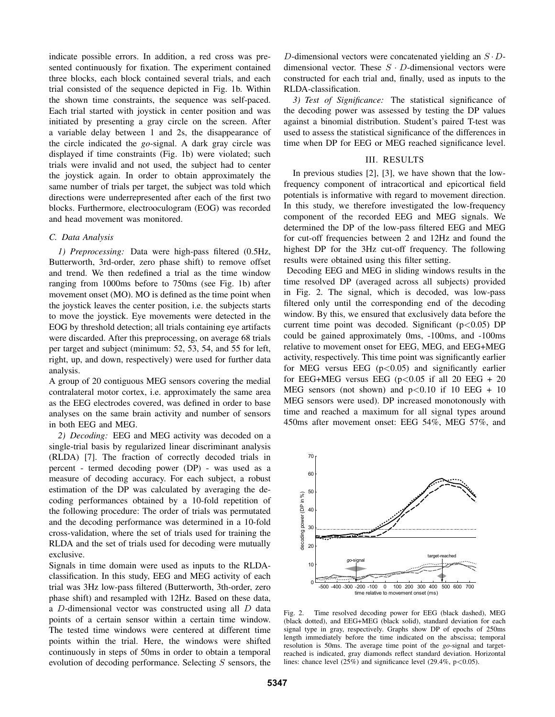indicate possible errors. In addition, a red cross was presented continuously for fixation. The experiment contained three blocks, each block contained several trials, and each trial consisted of the sequence depicted in Fig. 1b. Within the shown time constraints, the sequence was self-paced. Each trial started with joystick in center position and was initiated by presenting a gray circle on the screen. After a variable delay between 1 and 2s, the disappearance of the circle indicated the *go*-signal. A dark gray circle was displayed if time constraints (Fig. 1b) were violated; such trials were invalid and not used, the subject had to center the joystick again. In order to obtain approximately the same number of trials per target, the subject was told which directions were underrepresented after each of the first two blocks. Furthermore, electrooculogram (EOG) was recorded and head movement was monitored.

## *C. Data Analysis*

*1) Preprocessing:* Data were high-pass filtered (0.5Hz, Butterworth, 3rd-order, zero phase shift) to remove offset and trend. We then redefined a trial as the time window ranging from 1000ms before to 750ms (see Fig. 1b) after movement onset (MO). MO is defined as the time point when the joystick leaves the center position, i.e. the subjects starts to move the joystick. Eye movements were detected in the EOG by threshold detection; all trials containing eye artifacts were discarded. After this preprocessing, on average 68 trials per target and subject (minimum: 52, 53, 54, and 55 for left, right, up, and down, respectively) were used for further data analysis.

A group of 20 contiguous MEG sensors covering the medial contralateral motor cortex, i.e. approximately the same area as the EEG electrodes covered, was defined in order to base analyses on the same brain activity and number of sensors in both EEG and MEG.

*2) Decoding:* EEG and MEG activity was decoded on a single-trial basis by regularized linear discriminant analysis (RLDA) [7]. The fraction of correctly decoded trials in percent - termed decoding power (DP) - was used as a measure of decoding accuracy. For each subject, a robust estimation of the DP was calculated by averaging the decoding performances obtained by a 10-fold repetition of the following procedure: The order of trials was permutated and the decoding performance was determined in a 10-fold cross-validation, where the set of trials used for training the RLDA and the set of trials used for decoding were mutually exclusive.

Signals in time domain were used as inputs to the RLDAclassification. In this study, EEG and MEG activity of each trial was 3Hz low-pass filtered (Butterworth, 3th-order, zero phase shift) and resampled with 12Hz. Based on these data, a D-dimensional vector was constructed using all D data points of a certain sensor within a certain time window. The tested time windows were centered at different time points within the trial. Here, the windows were shifted continuously in steps of 50ms in order to obtain a temporal evolution of decoding performance. Selecting  $S$  sensors, the

D-dimensional vectors were concatenated yielding an  $S \cdot D$ dimensional vector. These  $S \cdot D$ -dimensional vectors were constructed for each trial and, finally, used as inputs to the RLDA-classification.

*3) Test of Significance:* The statistical significance of the decoding power was assessed by testing the DP values against a binomial distribution. Student's paired T-test was used to assess the statistical significance of the differences in time when DP for EEG or MEG reached significance level.

#### III. RESULTS

In previous studies [2], [3], we have shown that the lowfrequency component of intracortical and epicortical field potentials is informative with regard to movement direction. In this study, we therefore investigated the low-frequency component of the recorded EEG and MEG signals. We determined the DP of the low-pass filtered EEG and MEG for cut-off frequencies between 2 and 12Hz and found the highest DP for the 3Hz cut-off frequency. The following results were obtained using this filter setting.

Decoding EEG and MEG in sliding windows results in the time resolved DP (averaged across all subjects) provided in Fig. 2. The signal, which is decoded, was low-pass filtered only until the corresponding end of the decoding window. By this, we ensured that exclusively data before the current time point was decoded. Significant  $(p<0.05)$  DP could be gained approximately 0ms, -100ms, and -100ms relative to movement onset for EEG, MEG, and EEG+MEG activity, respectively. This time point was significantly earlier for MEG versus EEG  $(p<0.05)$  and significantly earlier for EEG+MEG versus EEG  $(p<0.05$  if all 20 EEG + 20 MEG sensors (not shown) and  $p<0.10$  if 10 EEG + 10 MEG sensors were used). DP increased monotonously with time and reached a maximum for all signal types around 450ms after movement onset: EEG 54%, MEG 57%, and



Fig. 2. Time resolved decoding power for EEG (black dashed), MEG (black dotted), and EEG+MEG (black solid), standard deviation for each signal type in gray, respectively. Graphs show DP of epochs of 250ms length immediately before the time indicated on the abscissa; temporal resolution is 50ms. The average time point of the *go*-signal and targetreached is indicated, gray diamonds reflect standard deviation. Horizontal lines: chance level  $(25\%)$  and significance level  $(29.4\%, p<0.05)$ .